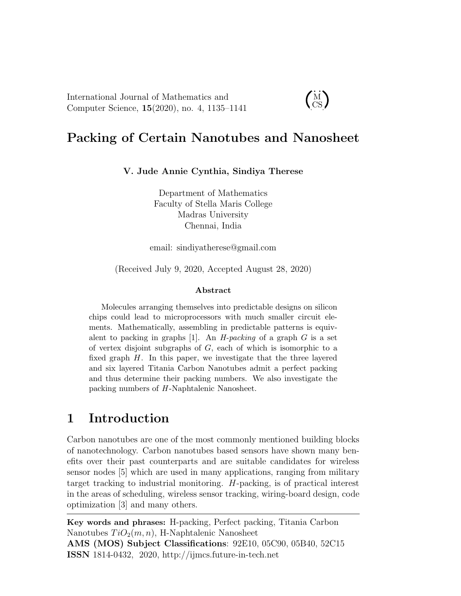International Journal of Mathematics and Computer Science, 15(2020), no. 4, 1135–1141

#### $\dot{M}$ CS

# Packing of Certain Nanotubes and Nanosheet

V. Jude Annie Cynthia, Sindiya Therese

Department of Mathematics Faculty of Stella Maris College Madras University Chennai, India

email: sindiyatherese@gmail.com

(Received July 9, 2020, Accepted August 28, 2020)

#### Abstract

Molecules arranging themselves into predictable designs on silicon chips could lead to microprocessors with much smaller circuit elements. Mathematically, assembling in predictable patterns is equivalent to packing in graphs [1]. An *H-packing* of a graph  $G$  is a set of vertex disjoint subgraphs of G, each of which is isomorphic to a fixed graph  $H$ . In this paper, we investigate that the three layered and six layered Titania Carbon Nanotubes admit a perfect packing and thus determine their packing numbers. We also investigate the packing numbers of H -Naphtalenic Nanosheet.

### 1 Introduction

Carbon nanotubes are one of the most commonly mentioned building blocks of nanotechnology. Carbon nanotubes based sensors have shown many benefits over their past counterparts and are suitable candidates for wireless sensor nodes [5] which are used in many applications, ranging from military target tracking to industrial monitoring. H-packing, is of practical interest in the areas of scheduling, wireless sensor tracking, wiring-board design, code optimization [3] and many others.

Key words and phrases: H-packing, Perfect packing, Titania Carbon Nanotubes  $TiO<sub>2</sub>(m, n)$ , H-Naphtalenic Nanosheet AMS (MOS) Subject Classifications: 92E10, 05C90, 05B40, 52C15

ISSN 1814-0432, 2020, http://ijmcs.future-in-tech.net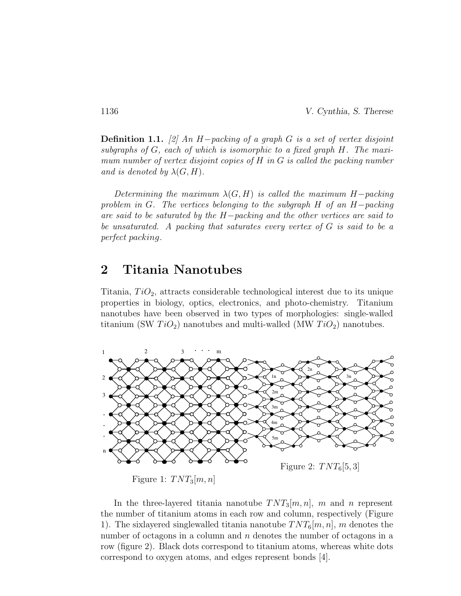**Definition 1.1.** [2] An H−packing of a graph G is a set of vertex disjoint subgraphs of G, each of which is isomorphic to a fixed graph H. The maximum number of vertex disjoint copies of H in G is called the packing number and is denoted by  $\lambda(G, H)$ .

Determining the maximum  $\lambda(G, H)$  is called the maximum H-packing problem in G. The vertices belonging to the subgraph H of an H−packing are said to be saturated by the H−packing and the other vertices are said to be unsaturated. A packing that saturates every vertex of G is said to be a perfect packing.

### 2 Titania Nanotubes

Titania,  $TiO<sub>2</sub>$ , attracts considerable technological interest due to its unique properties in biology, optics, electronics, and photo-chemistry. Titanium nanotubes have been observed in two types of morphologies: single-walled titanium (SW  $TiO_2$ ) nanotubes and multi-walled (MW  $TiO_2$ ) nanotubes.



Figure 1:  $TNT_3[m, n]$ 

In the three-layered titania nanotube  $TNT_3[m, n]$ , m and n represent the number of titanium atoms in each row and column, respectively (Figure 1). The six as expressed singlewalled titania nanotube  $TNT_6[m, n]$ , m denotes the number of octagons in a column and  $n$  denotes the number of octagons in a row (figure 2). Black dots correspond to titanium atoms, whereas white dots correspond to oxygen atoms, and edges represent bonds [4].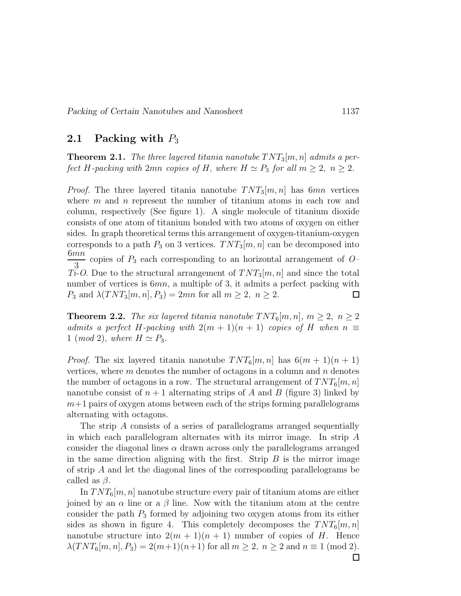#### 2.1 Packing with  $P_3$

**Theorem 2.1.** The three layered titania nanotube  $TNT_3[m, n]$  admits a perfect H-packing with 2mn copies of H, where  $H \simeq P_3$  for all  $m \geq 2$ ,  $n \geq 2$ .

*Proof.* The three layered titania nanotube  $TNT_3[m, n]$  has 6mn vertices where  $m$  and  $n$  represent the number of titanium atoms in each row and column, respectively (See figure 1). A single molecule of titanium dioxide consists of one atom of titanium bonded with two atoms of oxygen on either sides. In graph theoretical terms this arrangement of oxygen-titanium-oxygen corresponds to a path  $P_3$  on 3 vertices.  $TNT_3[m, n]$  can be decomposed into  $6mn$ copies of  $P_3$  each corresponding to an horizontal arrangement of  $O-$ 3  $Ti-O.$  Due to the structural arrangement of  $TNT_3[m, n]$  and since the total number of vertices is  $6mn$ , a multiple of 3, it admits a perfect packing with  $P_3$  and  $\lambda(TNT_3[m, n], P_3) = 2mn$  for all  $m \geq 2$ ,  $n \geq 2$ . □

**Theorem 2.2.** The six layered titania nanotube  $TNT_6[m, n]$ ,  $m \geq 2$ ,  $n \geq 2$ admits a perfect H-packing with  $2(m + 1)(n + 1)$  copies of H when  $n \equiv$ 1 (mod 2), where  $H \simeq P_3$ .

*Proof.* The six layered titania nanotube  $TNT_6[m, n]$  has  $6(m + 1)(n + 1)$ vertices, where  $m$  denotes the number of octagons in a column and  $n$  denotes the number of octagons in a row. The structural arrangement of  $TNT_6[m, n]$ nanotube consist of  $n + 1$  alternating strips of A and B (figure 3) linked by  $m+1$  pairs of oxygen atoms between each of the strips forming parallelograms alternating with octagons.

The strip A consists of a series of parallelograms arranged sequentially in which each parallelogram alternates with its mirror image. In strip A consider the diagonal lines  $\alpha$  drawn across only the parallelograms arranged in the same direction aligning with the first. Strip  $B$  is the mirror image of strip A and let the diagonal lines of the corresponding parallelograms be called as  $\beta$ .

In  $TNT_6[m, n]$  nanotube structure every pair of titanium atoms are either joined by an  $\alpha$  line or a  $\beta$  line. Now with the titanium atom at the centre consider the path  $P_3$  formed by adjoining two oxygen atoms from its either sides as shown in figure 4. This completely decomposes the  $TNT_6[m, n]$ nanotube structure into  $2(m + 1)(n + 1)$  number of copies of H. Hence  $\lambda(TNT_6[m, n], P_3) = 2(m+1)(n+1)$  for all  $m \ge 2$ ,  $n \ge 2$  and  $n \equiv 1 \pmod{2}$ .  $\Box$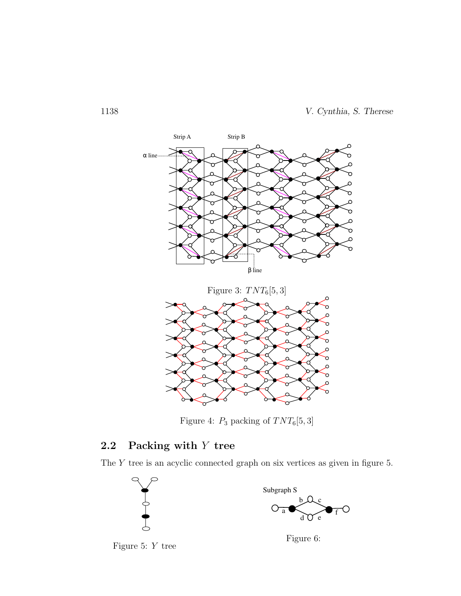

Figure 4:  $P_3$  packing of  $TNT_6[5,3]$ 

### 2.2 Packing with Y tree

The Y tree is an acyclic connected graph on six vertices as given in figure 5.





Figure 6: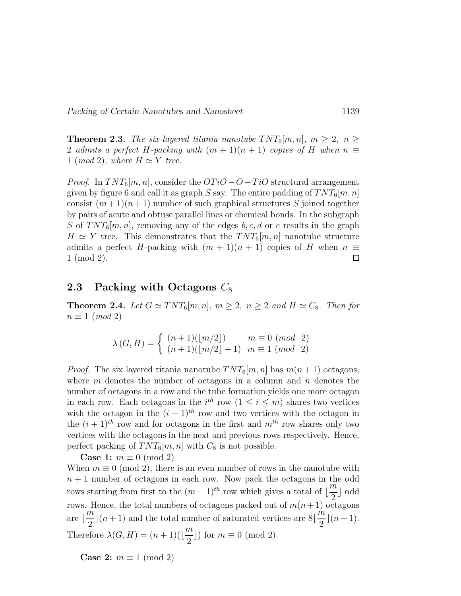Packing of Certain Nanotubes and Nanosheet 1139

**Theorem 2.3.** The six layered titania nanotube  $TNT_6[m, n]$ ,  $m \geq 2$ ,  $n \geq$ 2 admits a perfect H-packing with  $(m + 1)(n + 1)$  copies of H when  $n \equiv$ 1 (mod 2), where  $H \simeq Y$  tree.

*Proof.* In  $TNT_6[m, n]$ , consider the  $OTiO-O-TiO$  structural arrangement given by figure 6 and call it as graph S say. The entire padding of  $TNT_6[m, n]$ consist  $(m+1)(n+1)$  number of such graphical structures S joined together by pairs of acute and obtuse parallel lines or chemical bonds. In the subgraph S of  $TNT_6[m, n]$ , removing any of the edges b, c, d or e results in the graph  $H \simeq Y$  tree. This demonstrates that the  $TNT_6[m, n]$  nanotube structure admits a perfect H-packing with  $(m + 1)(n + 1)$  copies of H when  $n \equiv$ 1 (mod 2).  $\Box$ 

#### 2.3 Packing with Octagons  $C_8$

**Theorem 2.4.** Let  $G \simeq TNT_6[m,n], m \geq 2, n \geq 2$  and  $H \simeq C_8$ . Then for  $n \equiv 1 \pmod{2}$ 

$$
\lambda(G, H) = \begin{cases} (n+1)(\lfloor m/2 \rfloor) & m \equiv 0 \pmod{2} \\ (n+1)(\lfloor m/2 \rfloor + 1) & m \equiv 1 \pmod{2} \end{cases}
$$

*Proof.* The six layered titania nanotube  $TNT_6[m, n]$  has  $m(n + 1)$  octagons, where  $m$  denotes the number of octagons in a column and  $n$  denotes the number of octagons in a row and the tube formation yields one more octagon in each row. Each octagons in the  $i^{th}$  row  $(1 \leq i \leq m)$  shares two vertices with the octagon in the  $(i - 1)^{th}$  row and two vertices with the octagon in the  $(i + 1)^{th}$  row and for octagons in the first and  $m^{th}$  row shares only two vertices with the octagons in the next and previous rows respectively. Hence, perfect packing of  $TNT_6[m, n]$  with  $C_8$  is not possible.

Case 1:  $m \equiv 0 \pmod{2}$ 

When  $m \equiv 0 \pmod{2}$ , there is an even number of rows in the nanotube with  $n + 1$  number of octagons in each row. Now pack the octagons in the odd rows starting from first to the  $(m-1)^{th}$  row which gives a total of  $\lfloor \frac{m}{2} \rfloor$ 2  $\, \mid \, \mathrm{odd}$ rows. Hence, the total numbers of octagons packed out of  $m(n+1)$  octagons are ⌊ m 2  $\lfloor (n+1) \rfloor$  and the total number of saturated vertices are 8 $\lfloor$  $\acute{m}$ 2  $\lfloor (n+1) \rfloor$ . Therefore  $\lambda(G, H) = (n + 1)(\lfloor$ m 2 ) for  $m \equiv 0 \pmod{2}$ .

Case 2:  $m \equiv 1 \pmod{2}$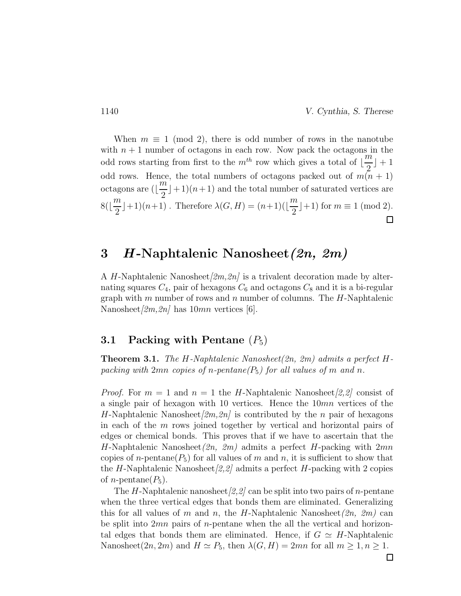When  $m \equiv 1 \pmod{2}$ , there is odd number of rows in the nanotube with  $n + 1$  number of octagons in each row. Now pack the octagons in the odd rows starting from first to the  $m^{th}$  row which gives a total of  $\left\lfloor \frac{m}{2} \right\rfloor$  $]+1$ 2 odd rows. Hence, the total numbers of octagons packed out of  $m(n + 1)$  $\overline{m}$ octagons are ( $\lfloor$  $\pm 1(n+1)$  and the total number of saturated vertices are 2 m m 8(⌊  $\vert +1(n+1)$ . Therefore  $\lambda(G, H) = (n+1)(\vert$  $\rfloor + 1)$  for  $m \equiv 1 \pmod{2}$ . 2 2  $\Box$ 

## 3 H-Naphtalenic Nanosheet (2n, 2m)

A H-Naphtalenic Nanosheet $[2m,2n]$  is a trivalent decoration made by alternating squares  $C_4$ , pair of hexagons  $C_6$  and octagons  $C_8$  and it is a bi-regular graph with m number of rows and n number of columns. The  $H$ -Naphtalenic Nanosheet $[2m,2n]$  has  $10mn$  vertices [6].

#### 3.1 Packing with Pentane  $(P_5)$

**Theorem 3.1.** The H-Naphtalenic Nanosheet(2n, 2m) admits a perfect Hpacking with 2mn copies of n-pentane( $P_5$ ) for all values of m and n.

*Proof.* For  $m = 1$  and  $n = 1$  the H-Naphtalenic Nanosheet [2,2] consist of a single pair of hexagon with 10 vertices. Hence the 10mn vertices of the H-Naphtalenic Nanosheet $[2m,2n]$  is contributed by the n pair of hexagons in each of the  $m$  rows joined together by vertical and horizontal pairs of edges or chemical bonds. This proves that if we have to ascertain that the H-Naphtalenic Nanosheet $(2n, 2m)$  admits a perfect H-packing with  $2mn$ copies of n-pentane( $P_5$ ) for all values of m and n, it is sufficient to show that the H-Naphtalenic Nanosheet $[2,2]$  admits a perfect H-packing with 2 copies of *n*-pentane( $P_5$ ).

The H-Naphtalenic nanosheet  $(2,2)$  can be split into two pairs of *n*-pentane when the three vertical edges that bonds them are eliminated. Generalizing this for all values of m and n, the H-Naphtalenic Nanosheet $(2n, 2m)$  can be split into  $2mn$  pairs of *n*-pentane when the all the vertical and horizontal edges that bonds them are eliminated. Hence, if  $G \simeq H$ -Naphtalenic Nanosheet $(2n, 2m)$  and  $H \simeq P_5$ , then  $\lambda(G, H) = 2mn$  for all  $m \geq 1, n \geq 1$ .